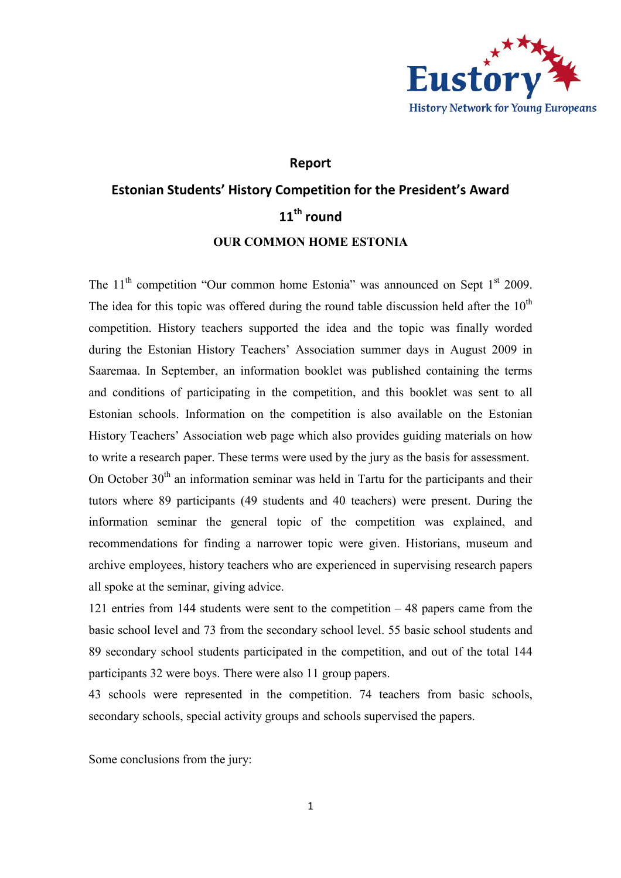

### Report

# Estonian Students' History Competition for the President's Award 11<sup>th</sup> round OUR COMMON HOME ESTONIA

The  $11<sup>th</sup>$  competition "Our common home Estonia" was announced on Sept  $1<sup>st</sup>$  2009. The idea for this topic was offered during the round table discussion held after the  $10<sup>th</sup>$ competition. History teachers supported the idea and the topic was finally worded during the Estonian History Teachers' Association summer days in August 2009 in Saaremaa. In September, an information booklet was published containing the terms and conditions of participating in the competition, and this booklet was sent to all Estonian schools. Information on the competition is also available on the Estonian History Teachers' Association web page which also provides guiding materials on how to write a research paper. These terms were used by the jury as the basis for assessment. On October  $30<sup>th</sup>$  an information seminar was held in Tartu for the participants and their

tutors where 89 participants (49 students and 40 teachers) were present. During the information seminar the general topic of the competition was explained, and recommendations for finding a narrower topic were given. Historians, museum and archive employees, history teachers who are experienced in supervising research papers all spoke at the seminar, giving advice.

121 entries from 144 students were sent to the competition – 48 papers came from the basic school level and 73 from the secondary school level. 55 basic school students and 89 secondary school students participated in the competition, and out of the total 144 participants 32 were boys. There were also 11 group papers.

43 schools were represented in the competition. 74 teachers from basic schools, secondary schools, special activity groups and schools supervised the papers.

Some conclusions from the jury: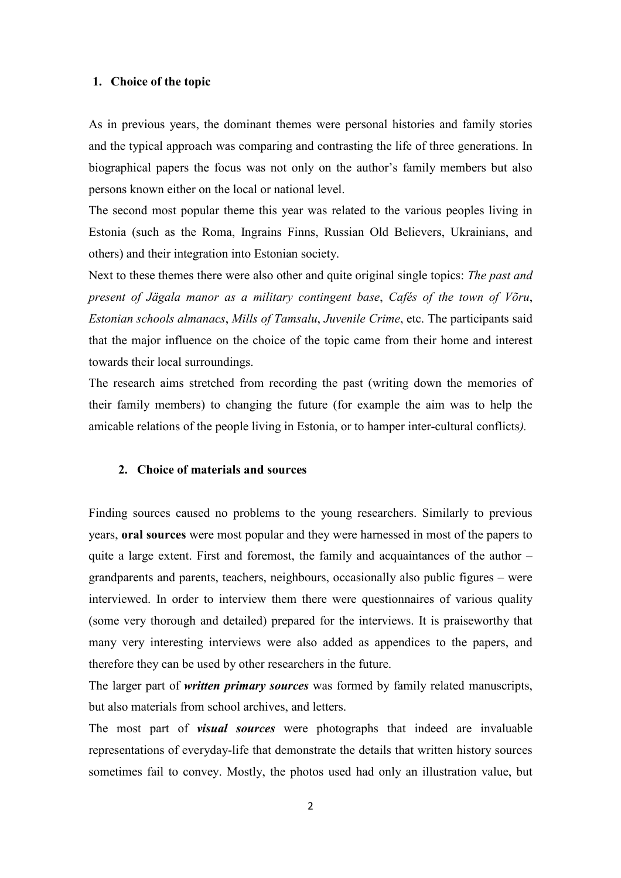#### 1. Choice of the topic

As in previous years, the dominant themes were personal histories and family stories and the typical approach was comparing and contrasting the life of three generations. In biographical papers the focus was not only on the author's family members but also persons known either on the local or national level.

The second most popular theme this year was related to the various peoples living in Estonia (such as the Roma, Ingrains Finns, Russian Old Believers, Ukrainians, and others) and their integration into Estonian society.

Next to these themes there were also other and quite original single topics: The past and present of Jägala manor as a military contingent base, Cafés of the town of Võru, Estonian schools almanacs, Mills of Tamsalu, Juvenile Crime, etc. The participants said that the major influence on the choice of the topic came from their home and interest towards their local surroundings.

The research aims stretched from recording the past (writing down the memories of their family members) to changing the future (for example the aim was to help the amicable relations of the people living in Estonia, or to hamper inter-cultural conflicts).

## 2. Choice of materials and sources

Finding sources caused no problems to the young researchers. Similarly to previous years, oral sources were most popular and they were harnessed in most of the papers to quite a large extent. First and foremost, the family and acquaintances of the author – grandparents and parents, teachers, neighbours, occasionally also public figures – were interviewed. In order to interview them there were questionnaires of various quality (some very thorough and detailed) prepared for the interviews. It is praiseworthy that many very interesting interviews were also added as appendices to the papers, and therefore they can be used by other researchers in the future.

The larger part of *written primary sources* was formed by family related manuscripts, but also materials from school archives, and letters.

The most part of *visual sources* were photographs that indeed are invaluable representations of everyday-life that demonstrate the details that written history sources sometimes fail to convey. Mostly, the photos used had only an illustration value, but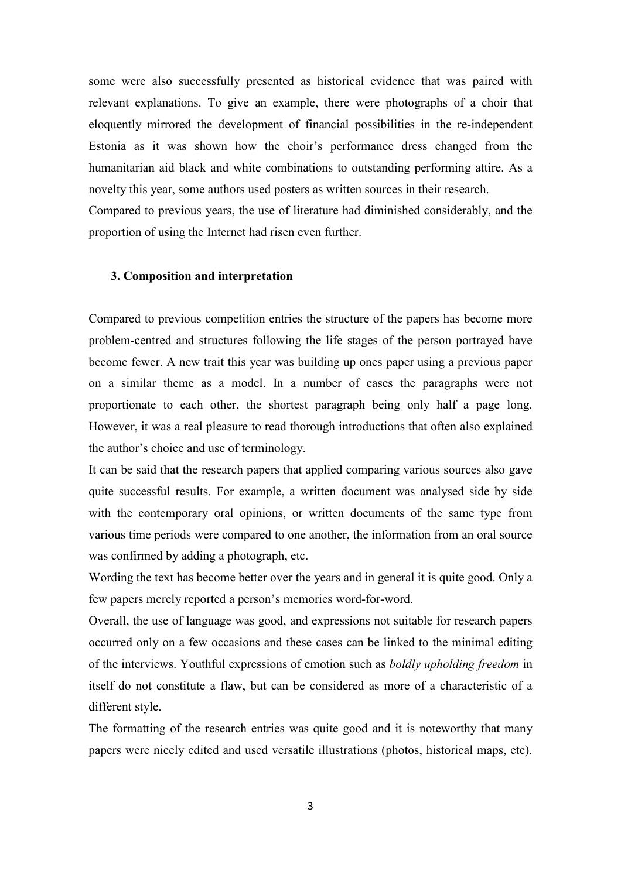some were also successfully presented as historical evidence that was paired with relevant explanations. To give an example, there were photographs of a choir that eloquently mirrored the development of financial possibilities in the re-independent Estonia as it was shown how the choir's performance dress changed from the humanitarian aid black and white combinations to outstanding performing attire. As a novelty this year, some authors used posters as written sources in their research.

Compared to previous years, the use of literature had diminished considerably, and the proportion of using the Internet had risen even further.

#### 3. Composition and interpretation

Compared to previous competition entries the structure of the papers has become more problem-centred and structures following the life stages of the person portrayed have become fewer. A new trait this year was building up ones paper using a previous paper on a similar theme as a model. In a number of cases the paragraphs were not proportionate to each other, the shortest paragraph being only half a page long. However, it was a real pleasure to read thorough introductions that often also explained the author's choice and use of terminology.

It can be said that the research papers that applied comparing various sources also gave quite successful results. For example, a written document was analysed side by side with the contemporary oral opinions, or written documents of the same type from various time periods were compared to one another, the information from an oral source was confirmed by adding a photograph, etc.

Wording the text has become better over the years and in general it is quite good. Only a few papers merely reported a person's memories word-for-word.

Overall, the use of language was good, and expressions not suitable for research papers occurred only on a few occasions and these cases can be linked to the minimal editing of the interviews. Youthful expressions of emotion such as *boldly upholding freedom* in itself do not constitute a flaw, but can be considered as more of a characteristic of a different style.

The formatting of the research entries was quite good and it is noteworthy that many papers were nicely edited and used versatile illustrations (photos, historical maps, etc).